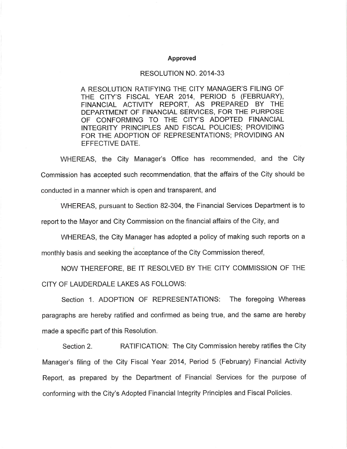## **Approved**

## RESOLUTION NO. 2014-33

A RESOLUTION RATIFYING THE CITY MANAGER'S FILING OF THE CITY'S FISCAL YEAR 2014, PERIOD 5 (FEBRUARY), FINANCIAL ACTIVITY REPORT, AS PREPARED BY THE DEPARTMENT OF FINANCIAL SERVICES, FOR THE PURPOSE OF CONFORMING TO THE CITY'S ADOPTED FINANCIAL INTEGRITY PRINCIPLES AND FISCAL POLICIES; PROVIDING FOR THE ADOPTION OF REPRESENTATIONS; PROVIDING AN EFFECTIVE DATE.

WHEREAS, the City Manager's Office has recommended, and the City Commission has accepted such recommendation, that the affairs of the City should be conducted in a manner which is open and transparent, and

WHEREAS, pursuant to Section 82-304, the Financial Services Department is to

report to the Mayor and City Commission on the financial affairs of the City, and

WHEREAS, the City Manager has adopted a policy of making such reports on a

monthly basis and seeking the acceptance of the City Commission thereof,

NOW THEREFORE, BE IT RESOLVED BY THE CITY COMMISSION OF THE CITY OF LAUDERDALE LAKES AS FOLLOWS:

Section 1. ADOPTION OF REPRESENTATIONS: The foregoing Whereas paragraphs are hereby ratified and confirmed as being true, and the same are hereby made a specific part of this Resolution.

RATIFICATION: The City Commission hereby ratifies the City Section 2. Manager's filing of the City Fiscal Year 2014, Period 5 (February) Financial Activity Report, as prepared by the Department of Financial Services for the purpose of conforming with the City's Adopted Financial Integrity Principles and Fiscal Policies.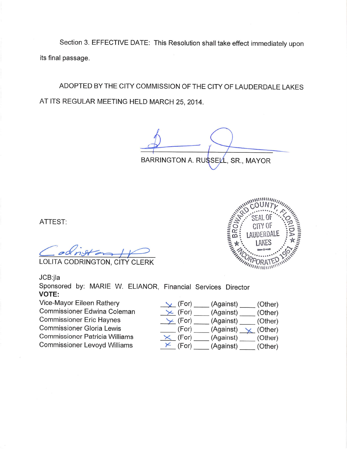Section 3. EFFECTIVE DATE: This Resolution shall take effect immediately upon its final passage.

ADOPTED BY THE CITY COMMISSION OF THE CITY OF LAUDERDALE LAKES AT ITS REGULAR MEETING HELD MARCH 25, 2014.

BARRINGTON A. RUSSELL, SR., MAYOR

ATTEST:

LOLITA CODRINGTON, CITY CLERK

JCB:jla

Sponsored by: MARIE W. ELIANOR, Financial Services Director **VOTE:** 

Vice-Mayor Eileen Rathery Commissioner Edwina Coleman **Commissioner Eric Haynes Commissioner Gloria Lewis Commissioner Patricia Williams Commissioner Levoyd Williams** 



| $\vee$ (For)      | (Against) | (Other) |
|-------------------|-----------|---------|
| $\times$ (For)    | (Against) | (Other) |
| $\times$ (For)    | (Against) | (Other) |
| (For)             | (Against) | (Other) |
| $\times$ (For)    | (Against) | (Other) |
| (For)<br>$\times$ | (Against) | (Other) |